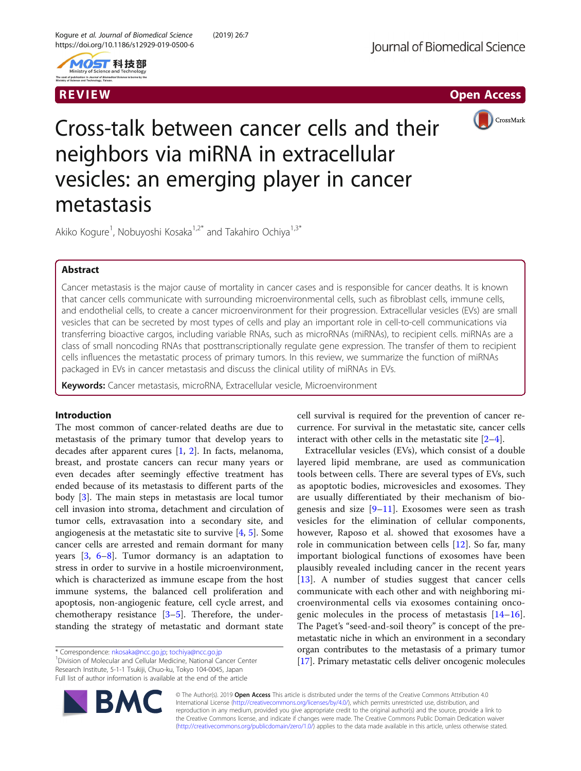



R EVI EW Open Access



# Cross-talk between cancer cells and their neighbors via miRNA in extracellular vesicles: an emerging player in cancer metastasis

Akiko Kogure<sup>1</sup>, Nobuyoshi Kosaka<sup>1,2\*</sup> and Takahiro Ochiya<sup>1,3\*</sup>

# Abstract

Cancer metastasis is the major cause of mortality in cancer cases and is responsible for cancer deaths. It is known that cancer cells communicate with surrounding microenvironmental cells, such as fibroblast cells, immune cells, and endothelial cells, to create a cancer microenvironment for their progression. Extracellular vesicles (EVs) are small vesicles that can be secreted by most types of cells and play an important role in cell-to-cell communications via transferring bioactive cargos, including variable RNAs, such as microRNAs (miRNAs), to recipient cells. miRNAs are a class of small noncoding RNAs that posttranscriptionally regulate gene expression. The transfer of them to recipient cells influences the metastatic process of primary tumors. In this review, we summarize the function of miRNAs packaged in EVs in cancer metastasis and discuss the clinical utility of miRNAs in EVs.

Keywords: Cancer metastasis, microRNA, Extracellular vesicle, Microenvironment

## Introduction

The most common of cancer-related deaths are due to metastasis of the primary tumor that develop years to decades after apparent cures [\[1](#page-6-0), [2\]](#page-6-0). In facts, melanoma, breast, and prostate cancers can recur many years or even decades after seemingly effective treatment has ended because of its metastasis to different parts of the body [[3\]](#page-6-0). The main steps in metastasis are local tumor cell invasion into stroma, detachment and circulation of tumor cells, extravasation into a secondary site, and angiogenesis at the metastatic site to survive [[4,](#page-6-0) [5\]](#page-6-0). Some cancer cells are arrested and remain dormant for many years [\[3](#page-6-0), [6](#page-6-0)–[8\]](#page-6-0). Tumor dormancy is an adaptation to stress in order to survive in a hostile microenvironment, which is characterized as immune escape from the host immune systems, the balanced cell proliferation and apoptosis, non-angiogenic feature, cell cycle arrest, and chemotherapy resistance  $[3-5]$  $[3-5]$  $[3-5]$  $[3-5]$ . Therefore, the understanding the strategy of metastatic and dormant state

<sup>1</sup> Division of Molecular and Cellular Medicine, National Cancer Center Research Institute, 5-1-1 Tsukiji, Chuo-ku, Tokyo 104-0045, Japan Full list of author information is available at the end of the article



Extracellular vesicles (EVs), which consist of a double layered lipid membrane, are used as communication tools between cells. There are several types of EVs, such as apoptotic bodies, microvesicles and exosomes. They are usually differentiated by their mechanism of biogenesis and size  $[9-11]$  $[9-11]$  $[9-11]$  $[9-11]$ . Exosomes were seen as trash vesicles for the elimination of cellular components, however, Raposo et al. showed that exosomes have a role in communication between cells [\[12](#page-6-0)]. So far, many important biological functions of exosomes have been plausibly revealed including cancer in the recent years [[13\]](#page-6-0). A number of studies suggest that cancer cells communicate with each other and with neighboring microenvironmental cells via exosomes containing oncogenic molecules in the process of metastasis [\[14](#page-6-0)–[16](#page-6-0)]. The Paget's "seed-and-soil theory" is concept of the premetastatic niche in which an environment in a secondary organ contributes to the metastasis of a primary tumor [[17](#page-6-0)]. Primary metastatic cells deliver oncogenic molecules



© The Author(s). 2019 **Open Access** This article is distributed under the terms of the Creative Commons Attribution 4.0 International License [\(http://creativecommons.org/licenses/by/4.0/](http://creativecommons.org/licenses/by/4.0/)), which permits unrestricted use, distribution, and reproduction in any medium, provided you give appropriate credit to the original author(s) and the source, provide a link to the Creative Commons license, and indicate if changes were made. The Creative Commons Public Domain Dedication waiver [\(http://creativecommons.org/publicdomain/zero/1.0/](http://creativecommons.org/publicdomain/zero/1.0/)) applies to the data made available in this article, unless otherwise stated.

<sup>\*</sup> Correspondence: [nkosaka@ncc.go.jp](mailto:nkosaka@ncc.go.jp); [tochiya@ncc.go.jp](mailto:tochiya@ncc.go.jp) <sup>1</sup>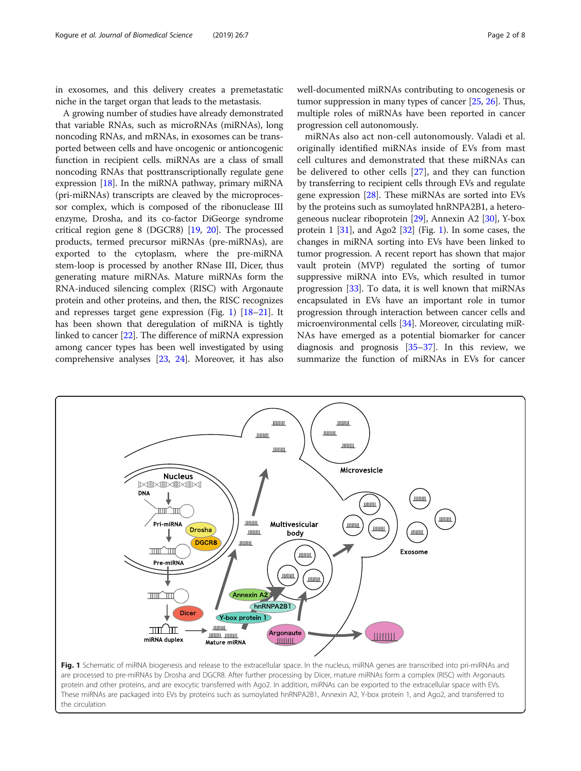in exosomes, and this delivery creates a premetastatic niche in the target organ that leads to the metastasis.

A growing number of studies have already demonstrated that variable RNAs, such as microRNAs (miRNAs), long noncoding RNAs, and mRNAs, in exosomes can be transported between cells and have oncogenic or antioncogenic function in recipient cells. miRNAs are a class of small noncoding RNAs that posttranscriptionally regulate gene expression [[18](#page-6-0)]. In the miRNA pathway, primary miRNA (pri-miRNAs) transcripts are cleaved by the microprocessor complex, which is composed of the ribonuclease III enzyme, Drosha, and its co-factor DiGeorge syndrome critical region gene 8 (DGCR8) [[19](#page-6-0), [20](#page-6-0)]. The processed products, termed precursor miRNAs (pre-miRNAs), are exported to the cytoplasm, where the pre-miRNA stem-loop is processed by another RNase III, Dicer, thus generating mature miRNAs. Mature miRNAs form the RNA-induced silencing complex (RISC) with Argonaute protein and other proteins, and then, the RISC recognizes and represses target gene expression (Fig. 1) [[18](#page-6-0)–[21\]](#page-6-0). It has been shown that deregulation of miRNA is tightly linked to cancer [\[22](#page-6-0)]. The difference of miRNA expression among cancer types has been well investigated by using comprehensive analyses [[23](#page-6-0), [24](#page-6-0)]. Moreover, it has also well-documented miRNAs contributing to oncogenesis or tumor suppression in many types of cancer [[25](#page-6-0), [26\]](#page-6-0). Thus, multiple roles of miRNAs have been reported in cancer progression cell autonomously.

miRNAs also act non-cell autonomously. Valadi et al. originally identified miRNAs inside of EVs from mast cell cultures and demonstrated that these miRNAs can be delivered to other cells [\[27](#page-6-0)], and they can function by transferring to recipient cells through EVs and regulate gene expression [[28](#page-6-0)]. These miRNAs are sorted into EVs by the proteins such as sumoylated hnRNPA2B1, a heterogeneous nuclear riboprotein [\[29\]](#page-6-0), Annexin A2 [\[30\]](#page-6-0), Y-box protein 1 [\[31](#page-6-0)], and Ago2 [[32](#page-6-0)] (Fig. 1). In some cases, the changes in miRNA sorting into EVs have been linked to tumor progression. A recent report has shown that major vault protein (MVP) regulated the sorting of tumor suppressive miRNA into EVs, which resulted in tumor progression [\[33\]](#page-6-0). To data, it is well known that miRNAs encapsulated in EVs have an important role in tumor progression through interaction between cancer cells and microenvironmental cells [\[34](#page-6-0)]. Moreover, circulating miR-NAs have emerged as a potential biomarker for cancer diagnosis and prognosis [[35](#page-6-0)–[37\]](#page-6-0). In this review, we summarize the function of miRNAs in EVs for cancer



protein and other proteins, and are exocytic transferred with Ago2. In addition, miRNAs can be exported to the extracellular space with EVs. These miRNAs are packaged into EVs by proteins such as sumoylated hnRNPA2B1, Annexin A2, Y-box protein 1, and Ago2, and transferred to the circulation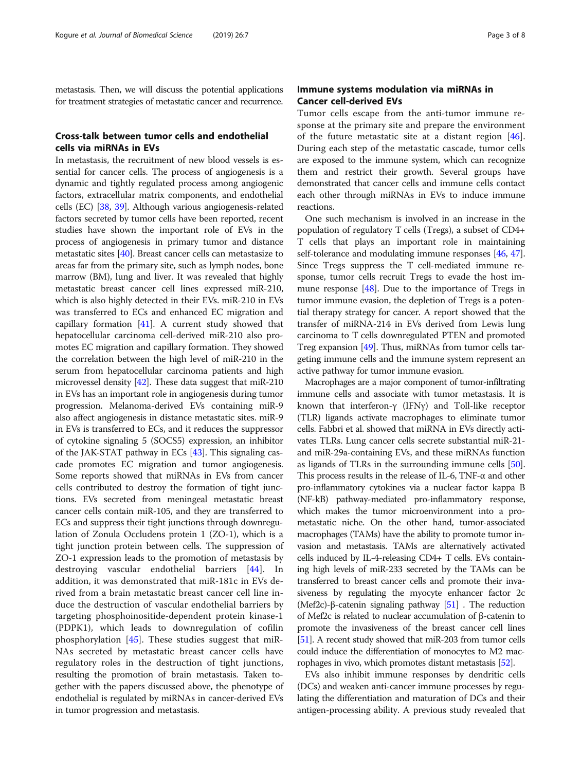metastasis. Then, we will discuss the potential applications for treatment strategies of metastatic cancer and recurrence.

# Cross-talk between tumor cells and endothelial cells via miRNAs in EVs

In metastasis, the recruitment of new blood vessels is essential for cancer cells. The process of angiogenesis is a dynamic and tightly regulated process among angiogenic factors, extracellular matrix components, and endothelial cells (EC) [\[38](#page-6-0), [39](#page-6-0)]. Although various angiogenesis-related factors secreted by tumor cells have been reported, recent studies have shown the important role of EVs in the process of angiogenesis in primary tumor and distance metastatic sites [\[40\]](#page-6-0). Breast cancer cells can metastasize to areas far from the primary site, such as lymph nodes, bone marrow (BM), lung and liver. It was revealed that highly metastatic breast cancer cell lines expressed miR-210, which is also highly detected in their EVs. miR-210 in EVs was transferred to ECs and enhanced EC migration and capillary formation [\[41\]](#page-6-0). A current study showed that hepatocellular carcinoma cell-derived miR-210 also promotes EC migration and capillary formation. They showed the correlation between the high level of miR-210 in the serum from hepatocellular carcinoma patients and high microvessel density [\[42](#page-6-0)]. These data suggest that miR-210 in EVs has an important role in angiogenesis during tumor progression. Melanoma-derived EVs containing miR-9 also affect angiogenesis in distance metastatic sites. miR-9 in EVs is transferred to ECs, and it reduces the suppressor of cytokine signaling 5 (SOCS5) expression, an inhibitor of the JAK-STAT pathway in ECs [[43](#page-6-0)]. This signaling cascade promotes EC migration and tumor angiogenesis. Some reports showed that miRNAs in EVs from cancer cells contributed to destroy the formation of tight junctions. EVs secreted from meningeal metastatic breast cancer cells contain miR-105, and they are transferred to ECs and suppress their tight junctions through downregulation of Zonula Occludens protein 1 (ZO-1), which is a tight junction protein between cells. The suppression of ZO-1 expression leads to the promotion of metastasis by destroying vascular endothelial barriers [\[44](#page-6-0)]. In addition, it was demonstrated that miR-181c in EVs derived from a brain metastatic breast cancer cell line induce the destruction of vascular endothelial barriers by targeting phosphoinositide-dependent protein kinase-1 (PDPK1), which leads to downregulation of cofilin phosphorylation [[45](#page-6-0)]. These studies suggest that miR-NAs secreted by metastatic breast cancer cells have regulatory roles in the destruction of tight junctions, resulting the promotion of brain metastasis. Taken together with the papers discussed above, the phenotype of endothelial is regulated by miRNAs in cancer-derived EVs in tumor progression and metastasis.

# Immune systems modulation via miRNAs in Cancer cell-derived EVs

Tumor cells escape from the anti-tumor immune response at the primary site and prepare the environment of the future metastatic site at a distant region [\[46](#page-6-0)]. During each step of the metastatic cascade, tumor cells are exposed to the immune system, which can recognize them and restrict their growth. Several groups have demonstrated that cancer cells and immune cells contact each other through miRNAs in EVs to induce immune reactions.

One such mechanism is involved in an increase in the population of regulatory T cells (Tregs), a subset of CD4+ T cells that plays an important role in maintaining self-tolerance and modulating immune responses [\[46,](#page-6-0) [47](#page-6-0)]. Since Tregs suppress the T cell-mediated immune response, tumor cells recruit Tregs to evade the host immune response [\[48\]](#page-6-0). Due to the importance of Tregs in tumor immune evasion, the depletion of Tregs is a potential therapy strategy for cancer. A report showed that the transfer of miRNA-214 in EVs derived from Lewis lung carcinoma to T cells downregulated PTEN and promoted Treg expansion [[49\]](#page-6-0). Thus, miRNAs from tumor cells targeting immune cells and the immune system represent an active pathway for tumor immune evasion.

Macrophages are a major component of tumor-infiltrating immune cells and associate with tumor metastasis. It is known that interferon-γ (IFNγ) and Toll-like receptor (TLR) ligands activate macrophages to eliminate tumor cells. Fabbri et al. showed that miRNA in EVs directly activates TLRs. Lung cancer cells secrete substantial miR-21 and miR-29a-containing EVs, and these miRNAs function as ligands of TLRs in the surrounding immune cells [[50](#page-6-0)]. This process results in the release of IL-6, TNF- $\alpha$  and other pro-inflammatory cytokines via a nuclear factor kappa B (NF-kB) pathway-mediated pro-inflammatory response, which makes the tumor microenvironment into a prometastatic niche. On the other hand, tumor-associated macrophages (TAMs) have the ability to promote tumor invasion and metastasis. TAMs are alternatively activated cells induced by IL-4-releasing CD4+ T cells. EVs containing high levels of miR-233 secreted by the TAMs can be transferred to breast cancer cells and promote their invasiveness by regulating the myocyte enhancer factor 2c (Mef2c)-β-catenin signaling pathway  $[51]$  $[51]$ . The reduction of Mef2c is related to nuclear accumulation of β-catenin to promote the invasiveness of the breast cancer cell lines [[51](#page-7-0)]. A recent study showed that miR-203 from tumor cells could induce the differentiation of monocytes to M2 macrophages in vivo, which promotes distant metastasis [[52](#page-7-0)].

EVs also inhibit immune responses by dendritic cells (DCs) and weaken anti-cancer immune processes by regulating the differentiation and maturation of DCs and their antigen-processing ability. A previous study revealed that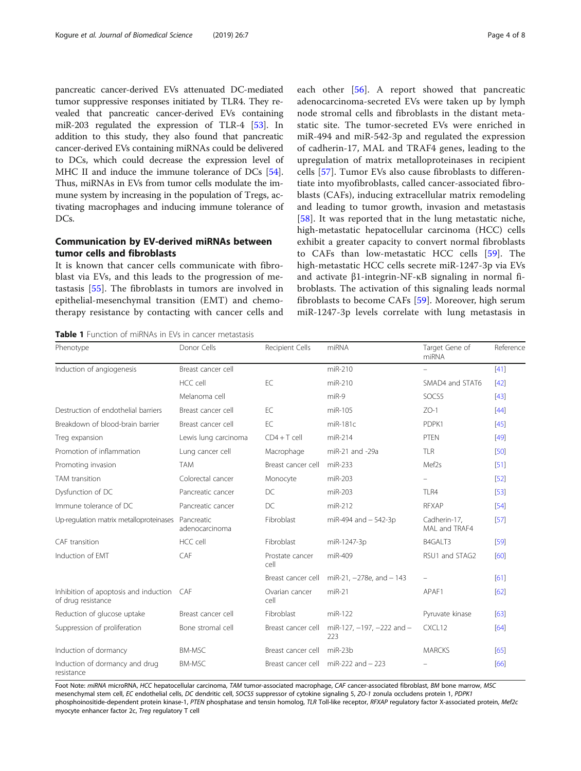<span id="page-3-0"></span>pancreatic cancer-derived EVs attenuated DC-mediated tumor suppressive responses initiated by TLR4. They revealed that pancreatic cancer-derived EVs containing miR-203 regulated the expression of TLR-4 [\[53](#page-7-0)]. In addition to this study, they also found that pancreatic cancer-derived EVs containing miRNAs could be delivered to DCs, which could decrease the expression level of MHC II and induce the immune tolerance of DCs [[54](#page-7-0)]. Thus, miRNAs in EVs from tumor cells modulate the immune system by increasing in the population of Tregs, activating macrophages and inducing immune tolerance of DC<sub>s</sub>.

# Communication by EV-derived miRNAs between tumor cells and fibroblasts

It is known that cancer cells communicate with fibroblast via EVs, and this leads to the progression of metastasis [[55\]](#page-7-0). The fibroblasts in tumors are involved in epithelial-mesenchymal transition (EMT) and chemotherapy resistance by contacting with cancer cells and each other [\[56](#page-7-0)]. A report showed that pancreatic adenocarcinoma-secreted EVs were taken up by lymph node stromal cells and fibroblasts in the distant metastatic site. The tumor-secreted EVs were enriched in miR-494 and miR-542-3p and regulated the expression of cadherin-17, MAL and TRAF4 genes, leading to the upregulation of matrix metalloproteinases in recipient cells [\[57](#page-7-0)]. Tumor EVs also cause fibroblasts to differentiate into myofibroblasts, called cancer-associated fibroblasts (CAFs), inducing extracellular matrix remodeling and leading to tumor growth, invasion and metastasis [[58\]](#page-7-0). It was reported that in the lung metastatic niche, high-metastatic hepatocellular carcinoma (HCC) cells exhibit a greater capacity to convert normal fibroblasts to CAFs than low-metastatic HCC cells [[59\]](#page-7-0). The high-metastatic HCC cells secrete miR-1247-3p via EVs and activate β1-integrin-NF-κB signaling in normal fibroblasts. The activation of this signaling leads normal fibroblasts to become CAFs [\[59](#page-7-0)]. Moreover, high serum miR-1247-3p levels correlate with lung metastasis in

miRNA

Table 1 Function of miRNAs in EVs in cancer metastasis

|                                                                                                                                            | HCC cell                     | EC                      | $miR-210$                               | SMAD4 and STAT6               | $[42]$ |
|--------------------------------------------------------------------------------------------------------------------------------------------|------------------------------|-------------------------|-----------------------------------------|-------------------------------|--------|
|                                                                                                                                            | Melanoma cell                |                         | $miR-9$                                 | SOCS5                         | $[43]$ |
| Destruction of endothelial barriers                                                                                                        | Breast cancer cell           | FC.                     | miR-105                                 | $7O-1$                        | [44]   |
| Breakdown of blood-brain barrier                                                                                                           | Breast cancer cell           | EC                      | $miR-181c$                              | PDPK1                         | [45]   |
| Treg expansion                                                                                                                             | Lewis lung carcinoma         | $CD4+T$ cell            | $miR-214$                               | <b>PTEN</b>                   | [49]   |
| Promotion of inflammation                                                                                                                  | Lung cancer cell             | Macrophage              | miR-21 and -29a                         | <b>TLR</b>                    | [50]   |
| Promoting invasion                                                                                                                         | <b>TAM</b>                   | Breast cancer cell      | $miR-233$                               | Mef <sub>2s</sub>             | [51]   |
| TAM transition                                                                                                                             | Colorectal cancer            | Monocyte                | miR-203                                 | -                             | [52]   |
| Dysfunction of DC                                                                                                                          | Pancreatic cancer            | DC                      | miR-203                                 | TLR4                          | [53]   |
| Immune tolerance of DC                                                                                                                     | Pancreatic cancer            | DC                      | $miR-212$                               | <b>RFXAP</b>                  | [54]   |
| Up-regulation matrix metalloproteinases                                                                                                    | Pancreatic<br>adenocarcinoma | Fibroblast              | miR-494 and $-542-3p$                   | Cadherin-17,<br>MAI and TRAF4 | [57]   |
| CAF transition                                                                                                                             | HCC cell                     | Fibroblast              | miR-1247-3p                             | B4GALT3                       | [59]   |
| Induction of FMT                                                                                                                           | CAF                          | Prostate cancer<br>cell | $miR-409$                               | RSU1 and STAG2                | [60]   |
|                                                                                                                                            |                              | Breast cancer cell      | miR-21, $-278e$ , and $-143$            | $\overline{\phantom{0}}$      | [61]   |
| Inhibition of apoptosis and induction<br>of drug resistance                                                                                | CAF                          | Ovarian cancer<br>cell  | $miR-21$                                | APAF1                         | [62]   |
| Reduction of glucose uptake                                                                                                                | Breast cancer cell           | Fibroblast              | miR-122                                 | Pyruvate kinase               | [63]   |
| Suppression of proliferation                                                                                                               | Bone stromal cell            | Breast cancer cell      | miR-127, $-197$ , $-222$ and $-$<br>223 | CXCL12                        | [64]   |
| Induction of dormancy                                                                                                                      | <b>BM-MSC</b>                | Breast cancer cell      | $miR-23b$                               | <b>MARCKS</b>                 | [65]   |
| Induction of dormancy and drug<br>resistance                                                                                               | <b>BM-MSC</b>                | Breast cancer cell      | $miR-222$ and $-223$                    |                               | [66]   |
| Eont Note: miRNA microRNA HCC henatocellular carcinoma TAM tumor-associated macrophage CAE cancer-associated fibroblast RM bone marrow MSC |                              |                         |                                         |                               |        |

Phenotype **Donor Cells** Donor Cells Recipient Cells miRNA Target Gene of

Induction of angiogenesis Breast cancer cell miR-210 – Financer cell miR-210 – Finance in the UA11

Foot Note: miRNA microRNA, HCC hepatocellular carcinoma, TAM tumor-associated macrophage, CAF cancer-associated fibroblast, BM bone marrow, MSC mesenchymal stem cell, EC endothelial cells, DC dendritic cell, SOCS5 suppressor of cytokine signaling 5, ZO-1 zonula occludens protein 1, PDPK1 phosphoinositide-dependent protein kinase-1, PTEN phosphatase and tensin homolog, TLR Toll-like receptor, RFXAP regulatory factor X-associated protein, Mef2c myocyte enhancer factor 2c, Treg regulatory T cell

Reference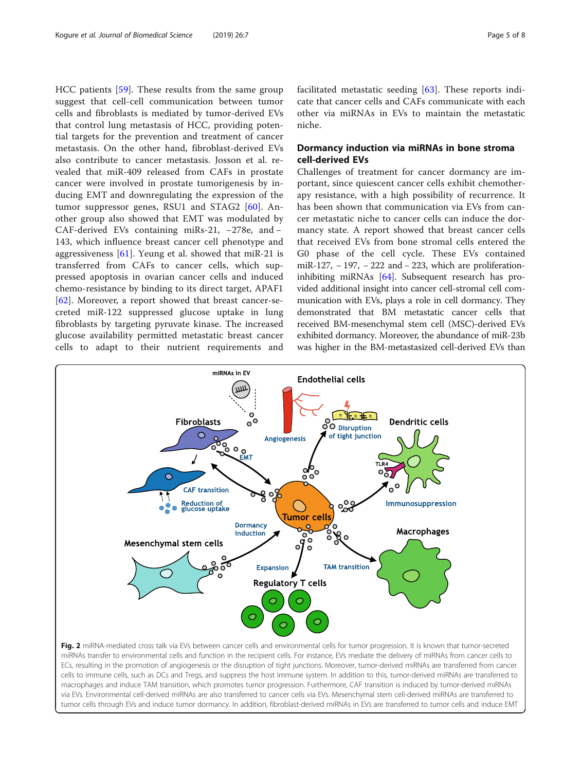<span id="page-4-0"></span>HCC patients [\[59\]](#page-7-0). These results from the same group suggest that cell-cell communication between tumor cells and fibroblasts is mediated by tumor-derived EVs that control lung metastasis of HCC, providing potential targets for the prevention and treatment of cancer metastasis. On the other hand, fibroblast-derived EVs also contribute to cancer metastasis. Josson et al. revealed that miR-409 released from CAFs in prostate cancer were involved in prostate tumorigenesis by inducing EMT and downregulating the expression of the tumor suppressor genes, RSU1 and STAG2 [\[60](#page-7-0)]. Another group also showed that EMT was modulated by CAF-derived EVs containing miRs-21, −278e, and − 143, which influence breast cancer cell phenotype and aggressiveness [[61\]](#page-7-0). Yeung et al. showed that miR-21 is transferred from CAFs to cancer cells, which suppressed apoptosis in ovarian cancer cells and induced chemo-resistance by binding to its direct target, APAF1 [[62\]](#page-7-0). Moreover, a report showed that breast cancer-secreted miR-122 suppressed glucose uptake in lung fibroblasts by targeting pyruvate kinase. The increased glucose availability permitted metastatic breast cancer cells to adapt to their nutrient requirements and facilitated metastatic seeding [[63\]](#page-7-0). These reports indicate that cancer cells and CAFs communicate with each other via miRNAs in EVs to maintain the metastatic niche.

# Dormancy induction via miRNAs in bone stroma cell-derived EVs

Challenges of treatment for cancer dormancy are important, since quiescent cancer cells exhibit chemotherapy resistance, with a high possibility of recurrence. It has been shown that communication via EVs from cancer metastatic niche to cancer cells can induce the dormancy state. A report showed that breast cancer cells that received EVs from bone stromal cells entered the G0 phase of the cell cycle. These EVs contained miR-127, − 197, − 222 and − 223, which are proliferationinhibiting miRNAs [[64](#page-7-0)]. Subsequent research has provided additional insight into cancer cell-stromal cell communication with EVs, plays a role in cell dormancy. They demonstrated that BM metastatic cancer cells that received BM-mesenchymal stem cell (MSC)-derived EVs exhibited dormancy. Moreover, the abundance of miR-23b was higher in the BM-metastasized cell-derived EVs than



ECs, resulting in the promotion of angiogenesis or the disruption of tight junctions. Moreover, tumor-derived miRNAs are transferred from cancer cells to immune cells, such as DCs and Tregs, and suppress the host immune system. In addition to this, tumor-derived miRNAs are transferred to macrophages and induce TAM transition, which promotes tumor progression. Furthermore, CAF transition is induced by tumor-derived miRNAs via EVs. Environmental cell-derived miRNAs are also transferred to cancer cells via EVs. Mesenchymal stem cell-derived miRNAs are transferred to tumor cells through EVs and induce tumor dormancy. In addition, fibroblast-derived miRNAs in EVs are transferred to tumor cells and induce EMT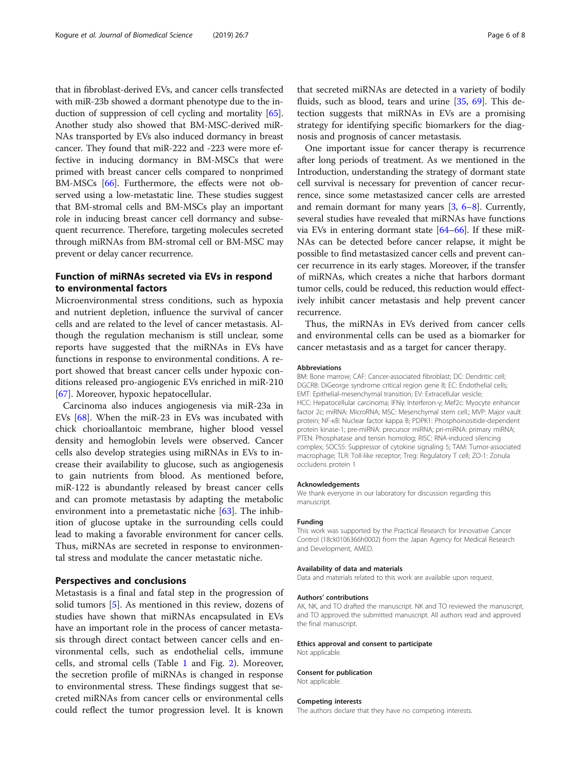that in fibroblast-derived EVs, and cancer cells transfected with miR-23b showed a dormant phenotype due to the induction of suppression of cell cycling and mortality [[65](#page-7-0)]. Another study also showed that BM-MSC-derived miR-NAs transported by EVs also induced dormancy in breast cancer. They found that miR-222 and -223 were more effective in inducing dormancy in BM-MSCs that were primed with breast cancer cells compared to nonprimed BM-MSCs [\[66\]](#page-7-0). Furthermore, the effects were not observed using a low-metastatic line. These studies suggest that BM-stromal cells and BM-MSCs play an important role in inducing breast cancer cell dormancy and subsequent recurrence. Therefore, targeting molecules secreted through miRNAs from BM-stromal cell or BM-MSC may prevent or delay cancer recurrence.

## Function of miRNAs secreted via EVs in respond to environmental factors

Microenvironmental stress conditions, such as hypoxia and nutrient depletion, influence the survival of cancer cells and are related to the level of cancer metastasis. Although the regulation mechanism is still unclear, some reports have suggested that the miRNAs in EVs have functions in response to environmental conditions. A report showed that breast cancer cells under hypoxic conditions released pro-angiogenic EVs enriched in miR-210 [[67\]](#page-7-0). Moreover, hypoxic hepatocellular.

Carcinoma also induces angiogenesis via miR-23a in EVs [\[68](#page-7-0)]. When the miR-23 in EVs was incubated with chick chorioallantoic membrane, higher blood vessel density and hemoglobin levels were observed. Cancer cells also develop strategies using miRNAs in EVs to increase their availability to glucose, such as angiogenesis to gain nutrients from blood. As mentioned before, miR-122 is abundantly released by breast cancer cells and can promote metastasis by adapting the metabolic environment into a premetastatic niche  $[63]$  $[63]$  $[63]$ . The inhibition of glucose uptake in the surrounding cells could lead to making a favorable environment for cancer cells. Thus, miRNAs are secreted in response to environmental stress and modulate the cancer metastatic niche.

## Perspectives and conclusions

Metastasis is a final and fatal step in the progression of solid tumors [[5\]](#page-6-0). As mentioned in this review, dozens of studies have shown that miRNAs encapsulated in EVs have an important role in the process of cancer metastasis through direct contact between cancer cells and environmental cells, such as endothelial cells, immune cells, and stromal cells (Table [1](#page-3-0) and Fig. [2\)](#page-4-0). Moreover, the secretion profile of miRNAs is changed in response to environmental stress. These findings suggest that secreted miRNAs from cancer cells or environmental cells could reflect the tumor progression level. It is known

that secreted miRNAs are detected in a variety of bodily fluids, such as blood, tears and urine [\[35](#page-6-0), [69](#page-7-0)]. This detection suggests that miRNAs in EVs are a promising strategy for identifying specific biomarkers for the diagnosis and prognosis of cancer metastasis.

One important issue for cancer therapy is recurrence after long periods of treatment. As we mentioned in the Introduction, understanding the strategy of dormant state cell survival is necessary for prevention of cancer recurrence, since some metastasized cancer cells are arrested and remain dormant for many years [[3](#page-6-0), [6](#page-6-0)–[8\]](#page-6-0). Currently, several studies have revealed that miRNAs have functions via EVs in entering dormant state  $[64-66]$  $[64-66]$  $[64-66]$  $[64-66]$ . If these miR-NAs can be detected before cancer relapse, it might be possible to find metastasized cancer cells and prevent cancer recurrence in its early stages. Moreover, if the transfer of miRNAs, which creates a niche that harbors dormant tumor cells, could be reduced, this reduction would effectively inhibit cancer metastasis and help prevent cancer recurrence.

Thus, the miRNAs in EVs derived from cancer cells and environmental cells can be used as a biomarker for cancer metastasis and as a target for cancer therapy.

#### Abbreviations

BM: Bone marrow; CAF: Cancer-associated fibroblast; DC: Dendritic cell; DGCR8: DiGeorge syndrome critical region gene 8; EC: Endothelial cells; EMT: Epithelial-mesenchymal transition; EV: Extracellular vesicle; HCC: Hepatocellular carcinoma; IFNγ: Interferon-γ; Mef2c: Myocyte enhancer factor 2c; miRNA: MicroRNA; MSC: Mesenchymal stem cell.; MVP: Major vault protein; NF-κB: Nuclear factor kappa B; PDPK1: Phosphoinositide-dependent protein kinase-1; pre-miRNA: precursor miRNA; pri-miRNA: primary miRNA; PTEN: Phosphatase and tensin homolog; RISC: RNA-induced silencing complex; SOCS5: Suppressor of cytokine signaling 5; TAM: Tumor-associated macrophage; TLR: Toll-like receptor; Treg: Regulatory T cell; ZO-1: Zonula occludens protein 1

#### Acknowledgements

We thank everyone in our laboratory for discussion regarding this manuscript.

#### Funding

This work was supported by the Practical Research for Innovative Cancer Control (18ck0106366h0002) from the Japan Agency for Medical Research and Development, AMED.

#### Availability of data and materials

Data and materials related to this work are available upon request.

#### Authors' contributions

AK, NK, and TO drafted the manuscript. NK and TO reviewed the manuscript, and TO approved the submitted manuscript. All authors read and approved the final manuscript.

## Ethics approval and consent to participate

Not applicable.

## Consent for publication

Not applicable.

## Competing interests

The authors declare that they have no competing interests.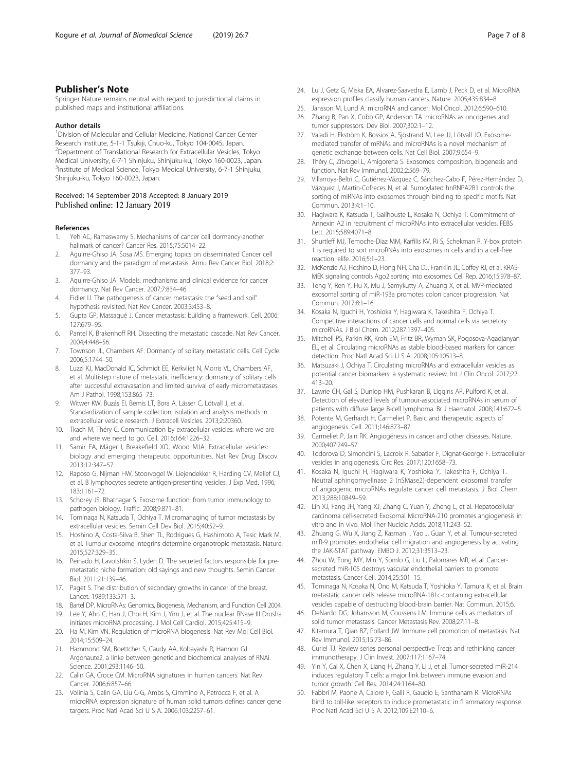## <span id="page-6-0"></span>Publisher's Note

Springer Nature remains neutral with regard to jurisdictional claims in published maps and institutional affiliations.

## Author details

<sup>1</sup> Division of Molecular and Cellular Medicine, National Cancer Center Research Institute, 5-1-1 Tsukiji, Chuo-ku, Tokyo 104-0045, Japan. 2 Department of Translational Research for Extracellular Vesicles, Tokyo Medical University, 6-7-1 Shinjuku, Shinjuku-ku, Tokyo 160-0023, Japan. <sup>3</sup>Institute of Medical Science, Tokyo Medical University, 6-7-1 Shinjuku, Shinjuku-ku, Tokyo 160-0023, Japan.

## Received: 14 September 2018 Accepted: 8 January 2019 Published online: 12 January 2019

### References

- 1. Yeh AC, Ramaswamy S. Mechanisms of cancer cell dormancy-another hallmark of cancer? Cancer Res. 2015;75:5014–22.
- Aguirre-Ghiso JA, Sosa MS. Emerging topics on disseminated Cancer cell dormancy and the paradigm of metastasis. Annu Rev Cancer Biol. 2018;2: 377–93.
- 3. Aguirre-Ghiso JA. Models, mechanisms and clinical evidence for cancer dormancy. Nat Rev Cancer. 2007;7:834–46.
- 4. Fidler IJ. The pathogenesis of cancer metastasis: the "seed and soil" hypothesis revisited. Nat Rev Cancer. 2003;3:453–8.
- 5. Gupta GP, Massagué J. Cancer metastasis: building a framework. Cell. 2006; 127:679–95.
- 6. Pantel K, Brakenhoff RH. Dissecting the metastatic cascade. Nat Rev Cancer. 2004;4:448–56.
- 7. Townson JL, Chambers AF. Dormancy of solitary metastatic cells. Cell Cycle. 2006;5:1744–50.
- 8. Luzzi KJ, MacDonald IC, Schmidt EE, Kerkvliet N, Morris VL, Chambers AF, et al. Multistep nature of metastatic inefficiency: dormancy of solitary cells after successful extravasation and limited survival of early micrometastases. Am J Pathol. 1998;153:865–73.
- 9. Witwer KW, Buzás EI, Bemis LT, Bora A, Lässer C, Lötvall J, et al. Standardization of sample collection, isolation and analysis methods in extracellular vesicle research. J Extracell Vesicles. 2013;2:20360.
- 10. Tkach M, Théry C. Communication by extracellular vesicles: where we are and where we need to go. Cell. 2016;164:1226–32.
- 11. Samir EA, Mäger I, Breakefield XO, Wood MJA. Extracellular vesicles: biology and emerging therapeutic opportunities. Nat Rev Drug Discov. 2013;12:347–57.
- 12. Raposo G, Nijman HW, Stoorvogel W, Liejendekker R, Harding CV, Melief CJ, et al. B lymphocytes secrete antigen-presenting vesicles. J Exp Med. 1996; 183:1161–72.
- 13. Schorey JS, Bhatnagar S. Exosome function: from tumor immunology to pathogen biology. Traffic. 2008;9:871–81.
- 14. Tominaga N, Katsuda T, Ochiya T. Micromanaging of tumor metastasis by extracellular vesicles. Semin Cell Dev Biol. 2015;40:52–9.
- 15. Hoshino A, Costa-Silva B, Shen TL, Rodrigues G, Hashimoto A, Tesic Mark M, et al. Tumour exosome integrins determine organotropic metastasis. Nature. 2015;527:329–35.
- 16. Peinado H, Lavotshkin S, Lyden D. The secreted factors responsible for premetastatic niche formation: old sayings and new thoughts. Semin Cancer Biol. 2011;21:139–46.
- 17. Paget S. The distribution of secondary growths in cancer of the breast. Lancet. 1989;133:571–3.
- 18. Bartel DP. MicroRNAs: Genomics, Biogenesis, Mechanism, and Function Cell 2004.
- 19. Lee Y, Ahn C, Han J, Choi H, Kim J, Yim J, et al. The nuclear RNase III Drosha initiates microRNA processing. J Mol Cell Cardiol. 2015;425:415–9.
- 20. Ha M, Kim VN. Regulation of microRNA biogenesis. Nat Rev Mol Cell Biol. 2014;15:509–24.
- 21. Hammond SM, Boettcher S, Caudy AA, Kobayashi R, Hannon GJ. Argonaute2, a linke between genetic and biochemical analyses of RNAi. Science. 2001;293:1146–50.
- 22. Calin GA, Croce CM. MicroRNA signatures in human cancers. Nat Rev Cancer. 2006;6:857–66.
- 23. Volinia S, Calin GA, Liu C-G, Ambs S, Cimmino A, Petrocca F, et al. A microRNA expression signature of human solid tumors defines cancer gene targets. Proc Natl Acad Sci U S A. 2006;103:2257–61.
- 24. Lu J, Getz G, Miska EA, Alvarez-Saavedra E, Lamb J, Peck D, et al. MicroRNA expression profiles classify human cancers. Nature. 2005;435:834–8.
- 25. Jansson M, Lund A. microRNA and cancer. Mol Oncol. 2012;6:590–610.
- 26. Zhang B, Pan X, Cobb GP, Anderson TA. microRNAs as oncogenes and tumor suppressors. Dev Biol. 2007;302:1–12.
- 27. Valadi H, Ekström K, Bossios A, Sjöstrand M, Lee JJ, Lötvall JO. Exosomemediated transfer of mRNAs and microRNAs is a novel mechanism of genetic exchange between cells. Nat Cell Biol. 2007;9:654–9.
- 28. Théry C, Zitvogel L, Amigorena S. Exosomes: composition, biogenesis and function. Nat Rev Immunol. 2002;2:569–79.
- 29. Villarroya-Beltri C, Gutiérrez-Vázquez C, Sánchez-Cabo F, Pérez-Hernández D, Vázquez J, Martin-Cofreces N, et al. Sumoylated hnRNPA2B1 controls the sorting of miRNAs into exosomes through binding to specific motifs. Nat Commun. 2013;4:1–10.
- 30. Hagiwara K, Katsuda T, Gailhouste L, Kosaka N, Ochiya T. Commitment of Annexin A2 in recruitment of microRNAs into extracellular vesicles. FEBS Lett. 2015;589:4071–8.
- 31. Shurtleff MJ, Temoche-Diaz MM, Karfilis KV, Ri S, Schekman R. Y-box protein 1 is required to sort microRNAs into exosomes in cells and in a cell-free reaction. elife. 2016;5:1–23.
- 32. McKenzie AJ, Hoshino D, Hong NH, Cha DJ, Franklin JL, Coffey RJ, et al. KRAS-MEK signaling controls Ago2 sorting into exosomes. Cell Rep. 2016;15:978–87.
- 33. Teng Y, Ren Y, Hu X, Mu J, Samykutty A, Zhuang X, et al. MVP-mediated exosomal sorting of miR-193a promotes colon cancer progression. Nat Commun. 2017;8:1–16.
- 34. Kosaka N, Iguchi H, Yoshioka Y, Hagiwara K, Takeshita F, Ochiya T. Competitive interactions of cancer cells and normal cells via secretory microRNAs. J Biol Chem. 2012;287:1397–405.
- 35. Mitchell PS, Parkin RK, Kroh EM, Fritz BR, Wyman SK, Pogosova-Agadjanyan EL, et al. Circulating microRNAs as stable blood-based markers for cancer detection. Proc Natl Acad Sci U S A. 2008;105:10513–8.
- 36. Matsuzaki J, Ochiya T. Circulating microRNAs and extracellular vesicles as potential cancer biomarkers: a systematic review. Int J Clin Oncol. 2017;22: 413–20.
- 37. Lawrie CH, Gal S, Dunlop HM, Pushkaran B, Liggins AP, Pulford K, et al. Detection of elevated levels of tumour-associated microRNAs in serum of patients with diffuse large B-cell lymphoma. Br J Haematol. 2008;141:672–5.
- 38. Potente M, Gerhardt H, Carmeliet P. Basic and therapeutic aspects of angiogenesis. Cell. 2011;146:873–87.
- 39. Carmeliet P, Jain RK. Angiogenesis in cancer and other diseases. Nature. 2000;407:249–57.
- 40. Todorova D, Simoncini S, Lacroix R, Sabatier F, Dignat-George F. Extracellular vesicles in angiogenesis. Circ Res. 2017;120:1658–73.
- 41. Kosaka N, Iguchi H, Hagiwara K, Yoshioka Y, Takeshita F, Ochiya T. Neutral sphingomyelinase 2 (nSMase2)-dependent exosomal transfer of angiogenic microRNAs regulate cancer cell metastasis. J Biol Chem. 2013;288:10849–59.
- 42. Lin XJ, Fang JH, Yang XJ, Zhang C, Yuan Y, Zheng L, et al. Hepatocellular carcinoma cell-secreted Exosomal MicroRNA-210 promotes angiogenesis in vitro and in vivo. Mol Ther Nucleic Acids. 2018;11:243–52.
- 43. Zhuang G, Wu X, Jiang Z, Kasman I, Yao J, Guan Y, et al. Tumour-secreted miR-9 promotes endothelial cell migration and angiogenesis by activating the JAK-STAT pathway. EMBO J. 2012;31:3513–23.
- 44. Zhou W, Fong MY, Min Y, Somlo G, Liu L, Palomares MR, et al. Cancersecreted miR-105 destroys vascular endothelial barriers to promote metastasis. Cancer Cell. 2014;25:501–15.
- 45. Tominaga N, Kosaka N, Ono M, Katsuda T, Yoshioka Y, Tamura K, et al. Brain metastatic cancer cells release microRNA-181c-containing extracellular vesicles capable of destructing blood-brain barrier. Nat Commun. 2015;6.
- 46. DeNardo DG, Johansson M, Coussens LM. Immune cells as mediators of solid tumor metastasis. Cancer Metastasis Rev. 2008;27:11–8.
- 47. Kitamura T, Qian BZ, Pollard JW. Immune cell promotion of metastasis. Nat Rev Immunol. 2015;15:73–86.
- 48. Curiel TJ. Review series personal perspective Tregs and rethinking cancer immunotherapy. J Clin Invest. 2007;117:1167–74.
- 49. Yin Y, Cai X, Chen X, Liang H, Zhang Y, Li J, et al. Tumor-secreted miR-214 induces regulatory T cells: a major link between immune evasion and tumor growth. Cell Res. 2014;24:1164–80.
- 50. Fabbri M, Paone A, Calore F, Galli R, Gaudio E, Santhanam R. MicroRNAs bind to toll-like receptors to induce prometastatic in fl ammatory response. Proc Natl Acad Sci U S A. 2012;109:E2110–6.